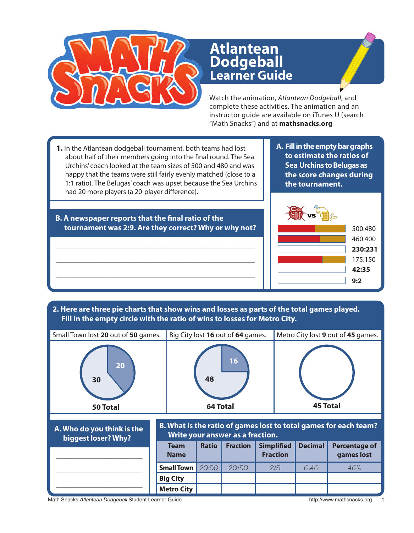

## **Learner Guide Atlantean Dodgeball**

Watch the animation, *Atlantean Dodgeball*, and complete these activities. The animation and an instructor guide are available on iTunes U (search "Math Snacks") and at **mathsnacks.org**

- **1.** In the Atlantean dodgeball tournament, both teams had lost about half of their members going into the final round. The Sea Urchins' coach looked at the team sizes of 500 and 480 and was happy that the teams were still fairly evenly matched (close to a 1:1 ratio). The Belugas' coach was upset because the Sea Urchins had 20 more players (a 20-player difference).
- **A. Fill in the empty bar graphs to estimate the ratios of Sea Urchins to Belugas as the score changes during the tournament.**



## \_\_\_\_\_\_\_\_\_\_\_\_\_\_\_\_\_\_\_\_\_\_\_\_\_\_\_\_\_\_\_\_\_\_\_\_\_\_\_\_\_\_\_\_\_\_\_\_\_\_\_\_\_\_\_ **tournament was 2:9. Are they correct? Why or why not?**

\_\_\_\_\_\_\_\_\_\_\_\_\_\_\_\_\_\_\_\_\_\_\_\_\_\_\_\_\_\_\_\_\_\_\_\_\_\_\_\_\_\_\_\_\_\_\_\_\_\_\_\_\_\_\_

**B. A newspaper reports that the final ratio of the** 

\_\_\_\_\_\_\_\_\_\_\_\_\_\_\_\_\_\_\_\_\_\_\_\_\_\_\_\_\_\_\_\_\_\_\_\_\_\_\_\_\_\_\_\_\_\_\_\_\_\_\_\_\_\_\_

**2. Here are three pie charts that show wins and losses as parts of the total games played. Fill in the empty circle with the ratio of wins to losses for Metro City.**



Math Snacks Atlantean Dodgeball Student Learner Guide **http://www.mathsnacks.org** 1999